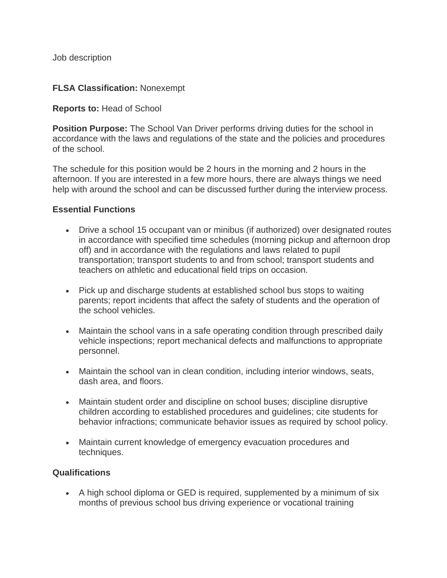Job description

## **FLSA Classification:** Nonexempt

## **Reports to:** Head of School

**Position Purpose:** The School Van Driver performs driving duties for the school in accordance with the laws and regulations of the state and the policies and procedures of the school.

The schedule for this position would be 2 hours in the morning and 2 hours in the afternoon. If you are interested in a few more hours, there are always things we need help with around the school and can be discussed further during the interview process.

## **Essential Functions**

- Drive a school 15 occupant van or minibus (if authorized) over designated routes in accordance with specified time schedules (morning pickup and afternoon drop off) and in accordance with the regulations and laws related to pupil transportation; transport students to and from school; transport students and teachers on athletic and educational field trips on occasion.
- Pick up and discharge students at established school bus stops to waiting parents; report incidents that affect the safety of students and the operation of the school vehicles.
- Maintain the school vans in a safe operating condition through prescribed daily vehicle inspections; report mechanical defects and malfunctions to appropriate personnel.
- Maintain the school van in clean condition, including interior windows, seats, dash area, and floors.
- Maintain student order and discipline on school buses; discipline disruptive children according to established procedures and guidelines; cite students for behavior infractions; communicate behavior issues as required by school policy.
- Maintain current knowledge of emergency evacuation procedures and techniques.

## **Qualifications**

• A high school diploma or GED is required, supplemented by a minimum of six months of previous school bus driving experience or vocational training